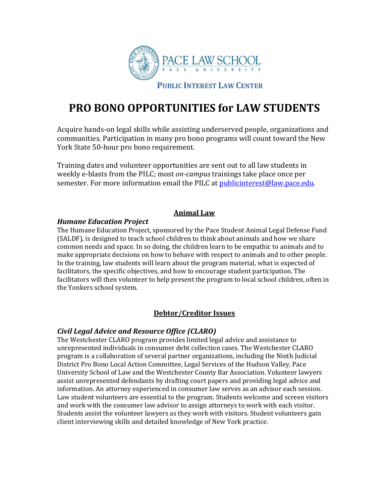

# **PRO BONO OPPORTUNITIES for LAW STUDENTS**

Acquire hands-on legal skills while assisting underserved people, organizations and communities. Participation in many pro bono programs will count toward the New York State 50-hour pro bono requirement.

Training dates and volunteer opportunities are sent out to all law students in weekly e-blasts from the PILC; most *on-campus* trainings take place once per semester. For more information email the PILC at [publicinterest@law.pace.edu.](mailto:publicinterest@law.pace.edu)

# **Animal Law**

# *Humane Education Project*

The Humane Education Project, sponsored by the Pace Student Animal Legal Defense Fund (SALDF), is designed to teach school children to think about animals and how we share common needs and space. In so doing, the children learn to be empathic to animals and to make appropriate decisions on how to behave with respect to animals and to other people. In the training, law students will learn about the program material, what is expected of facilitators, the specific objectives, and how to encourage student participation. The facilitators will then volunteer to help present the program to local school children, often in the Yonkers school system.

# **Debtor/Creditor Issues**

# *Civil Legal Advice and Resource Office (CLARO)*

The Westchester CLARO program provides limited legal advice and assistance to unrepresented individuals in consumer debt collection cases. The Westchester CLARO program is a collaboration of several partner organizations, including the Ninth Judicial District Pro Bono Local Action Committee, Legal Services of the Hudson Valley, Pace University School of Law and the Westchester County Bar Association. Volunteer lawyers assist unrepresented defendants by drafting court papers and providing legal advice and information. An attorney experienced in consumer law serves as an advisor each session. Law student volunteers are essential to the program. Students welcome and screen visitors and work with the consumer law advisor to assign attorneys to work with each visitor. Students assist the volunteer lawyers as they work with visitors. Student volunteers gain client interviewing skills and detailed knowledge of New York practice.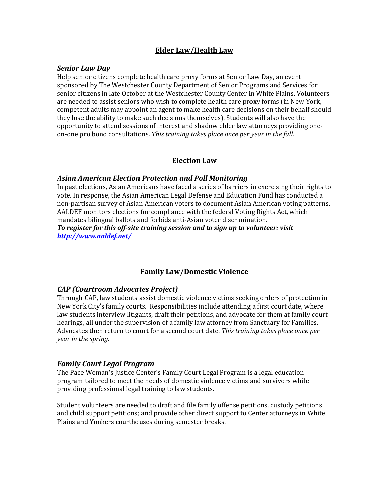# **Elder Law/Health Law**

#### *Senior Law Day*

Help senior citizens complete health care proxy forms at Senior Law Day, an event sponsored by The Westchester County Department of Senior Programs and Services for senior citizens in late October at the Westchester County Center in White Plains. Volunteers are needed to assist seniors who wish to complete health care proxy forms (in New York, competent adults may appoint an agent to make health care decisions on their behalf should they lose the ability to make such decisions themselves). Students will also have the opportunity to attend sessions of interest and shadow elder law attorneys providing oneon-one pro bono consultations. *This training takes place once per year in the fall.*

# **Election Law**

## *Asian American Election Protection and Poll Monitoring*

In past elections, Asian Americans have faced a series of barriers in exercising their rights to vote. In response, the Asian American Legal Defense and Education Fund has conducted a non-partisan survey of Asian American voters to document Asian American voting patterns. AALDEF monitors elections for compliance with the federal Voting Rights Act, which mandates bilingual ballots and forbids anti-Asian voter discrimination. *To register for this off-site training session and to sign up to volunteer: visit* 

*<http://www.aaldef.net/>*

# **Family Law/Domestic Violence**

# *CAP (Courtroom Advocates Project)*

Through CAP, law students assist domestic violence victims seeking orders of protection in New York City's family courts. Responsibilities include attending a first court date, where law students interview litigants, draft their petitions, and advocate for them at family court hearings, all under the supervision of a family law attorney from Sanctuary for Families. Advocates then return to court for a second court date. *This training takes place once per year in the spring.*

# *Family Court Legal Program*

The Pace Woman's Justice Center's Family Court Legal Program is a legal education program tailored to meet the needs of domestic violence victims and survivors while providing professional legal training to law students.

Student volunteers are needed to draft and file family offense petitions, custody petitions and child support petitions; and provide other direct support to Center attorneys in White Plains and Yonkers courthouses during semester breaks.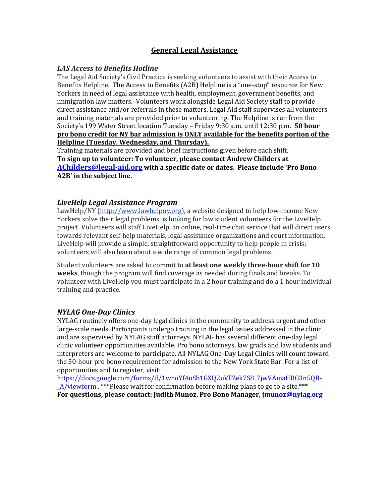# **General Legal Assistance**

## *LAS Access to Benefits Hotline*

The Legal Aid Society's Civil Practice is seeking volunteers to assist with their Access to Benefits Helpline. The Access to Benefits (A2B) Helpline is a "one-stop" resource for New Yorkers in need of legal assistance with health, employment, government benefits, and immigration law matters. Volunteers work alongside Legal Aid Society staff to provide direct assistance and/or referrals in these matters. Legal Aid staff supervises all volunteers and training materials are provided prior to volunteering. The Helpline is run from the Society's 199 Water Street location Tuesday – Friday 9:30 a.m. until 12:30 p.m. **50 hour pro bono credit for NY bar admission is ONLY available for the benefits portion of the Helpline (Tuesday, Wednesday, and Thursday).**

Training materials are provided and brief instructions given before each shift. **To sign up to volunteer: To volunteer, please contact Andrew Childers at [AChilders@legal-aid.org](mailto:AChilders@legal-aid.org) with a specific date or dates. Please include 'Pro Bono A2B' in the subject line.**

## *LiveHelp Legal Assistance Program*

LawHelp/NY [\(http://www.lawhelpny.org\)](http://www.lawhelpny.org/), a website designed to help low-income New Yorkers solve their legal problems, is looking for law student volunteers for the LiveHelp project. Volunteers will staff LiveHelp, an online, real-time chat service that will direct users towards relevant self-help materials, legal assistance organizations and court information. LiveHelp will provide a simple, straightforward opportunity to help people in crisis; volunteers will also learn about a wide range of common legal problems.

Student volunteers are asked to commit to **at least one weekly three-hour shift for 10 weeks**, though the program will find coverage as needed during finals and breaks. To volunteer with LiveHelp you must participate in a 2 hour training and do a 1 hour individual training and practice.

# *NYLAG One-Day Clinics*

NYLAG routinely offers one-day legal clinics in the community to address urgent and other large-scale needs. Participants undergo training in the legal issues addressed in the clinic and are supervised by NYLAG staff attorneys. NYLAG has several different one-day legal clinic volunteer opportunities available. Pro bono attorneys, law grads and law students and interpreters are welcome to participate. All NYLAG One-Day Legal Clinics will count toward the 50-hour pro bono requirement for admission to the New York State Bar. For a list of opportunities and to register, visit:

[https://docs.google.com/forms/d/1wnoYf4uSb1GXQ2uVllZek7S8\\_7jwVAmaHRG3n5QB-](https://docs.google.com/forms/d/1wnoYf4uSb1GXQ2uVllZek7S8_7jwVAmaHRG3n5QB-_A/viewform) [\\_A/viewform](https://docs.google.com/forms/d/1wnoYf4uSb1GXQ2uVllZek7S8_7jwVAmaHRG3n5QB-_A/viewform) . \*\*\*Please wait for confirmation before making plans to go to a site.\*\*\* **For questions, please contact: Judith Munoz, Pro Bono Manager, [jmunoz@nylag.org](mailto:jmunoz@nylag.org)**